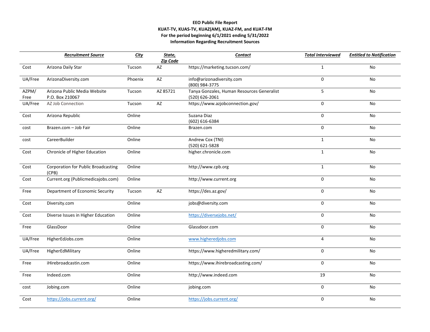## **EEO Public File Report KUAT-TV, KUAS-TV, KUAZ(AM), KUAZ-FM, and KUAT-FM For the period beginning 6/1/2021 ending 5/31/2022 Information Regarding Recruitment Sources**

|               | <b>Recruitment Source</b>                           | <b>City</b> | State,<br>Zip Code | <b>Contact</b>                                               | <b>Total Interviewed</b> | <b>Entitled to Notification</b> |
|---------------|-----------------------------------------------------|-------------|--------------------|--------------------------------------------------------------|--------------------------|---------------------------------|
| Cost          | Arizona Daily Star                                  | Tucson      | AZ                 | https://marketing.tucson.com/                                | $\mathbf{1}$             | No                              |
| UA/Free       | ArizonaDiversity.com                                | Phoenix     | AZ                 | info@arizonadiversity.com<br>(800) 984-3775                  | $\mathbf 0$              | No                              |
| AZPM/<br>Free | Arizona Public Media Website<br>P.O. Box 210067     | Tucson      | AZ 85721           | Tanya Gonzales, Human Resources Generalist<br>(520) 626-2061 | 5                        | No                              |
| UA/Free       | AZ Job Connection                                   | Tucson      | AZ                 | https://www.azjobconnection.gov/                             | $\mathbf 0$              | No                              |
| Cost          | Arizona Republic                                    | Online      |                    | Suzana Diaz<br>(602) 616-6384                                | $\mathbf 0$              | No                              |
| cost          | Brazen.com - Job Fair                               | Online      |                    | Brazen.com                                                   | $\mathbf 0$              | No                              |
| cost          | CareerBuilder                                       | Online      |                    | Andrew Cox (TNI)<br>(520) 621-5828                           | $\mathbf{1}$             | No                              |
| Cost          | Chronicle of Higher Education                       | Online      |                    | higher.chronicle.com                                         | $\mathbf{1}$             | No                              |
| Cost          | <b>Corporation for Public Broadcasting</b><br>(CPB) | Online      |                    | http://www.cpb.org                                           | $\mathbf{1}$             | No                              |
| Cost          | Current.org (Publicmedicajobs.com)                  | Online      |                    | http://www.current.org                                       | 0                        | <b>No</b>                       |
| Free          | Department of Economic Security                     | Tucson      | AZ                 | https://des.az.gov/                                          | 0                        | No                              |
| Cost          | Diversity.com                                       | Online      |                    | jobs@diversity.com                                           | $\mathbf 0$              | <b>No</b>                       |
| Cost          | Diverse Issues in Higher Education                  | Online      |                    | https://diversejobs.net/                                     | $\mathbf 0$              | No                              |
| Free          | GlassDoor                                           | Online      |                    | Glassdoor.com                                                | $\mathbf 0$              | No                              |
| UA/Free       | HigherEdJobs.com                                    | Online      |                    | www.higheredjobs.com                                         | $\overline{4}$           | <b>No</b>                       |
| UA/Free       | HigherEdMilitary                                    | Online      |                    | https://www.higheredmilitary.com/                            | $\mathbf 0$              | No                              |
| Free          | iHirebroadcastin.com                                | Online      |                    | https://www.ihirebroadcasting.com/                           | $\mathbf 0$              | <b>No</b>                       |
| Free          | Indeed.com                                          | Online      |                    | http://www.indeed.com                                        | 19                       | No                              |
| cost          | Jobing.com                                          | Online      |                    | jobing.com                                                   | $\Omega$                 | No                              |
| Cost          | https://jobs.current.org/                           | Online      |                    | https://jobs.current.org/                                    | 0                        | No                              |